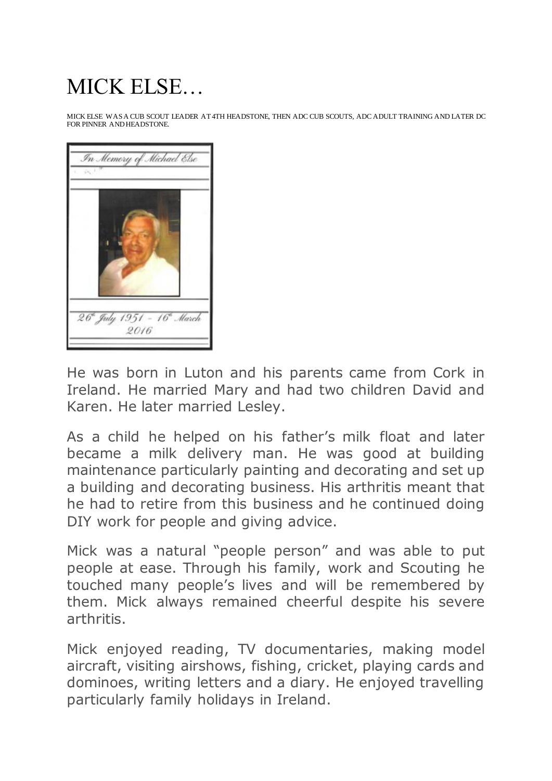## MICK ELSE…

MICK ELSE WAS A CUB SCOUT LEADER AT 4TH HEADSTONE, THEN ADC CUB SCOUTS, ADC ADULT TRAINING AND LATER DC FOR PINNER AND HEADSTONE.



He was born in Luton and his parents came from Cork in Ireland. He married Mary and had two children David and Karen. He later married Lesley.

As a child he helped on his father's milk float and later became a milk delivery man. He was good at building maintenance particularly painting and decorating and set up a building and decorating business. His arthritis meant that he had to retire from this business and he continued doing DIY work for people and giving advice.

Mick was a natural "people person" and was able to put people at ease. Through his family, work and Scouting he touched many people's lives and will be remembered by them. Mick always remained cheerful despite his severe arthritis.

Mick enjoyed reading, TV documentaries, making model aircraft, visiting airshows, fishing, cricket, playing cards and dominoes, writing letters and a diary. He enjoyed travelling particularly family holidays in Ireland.